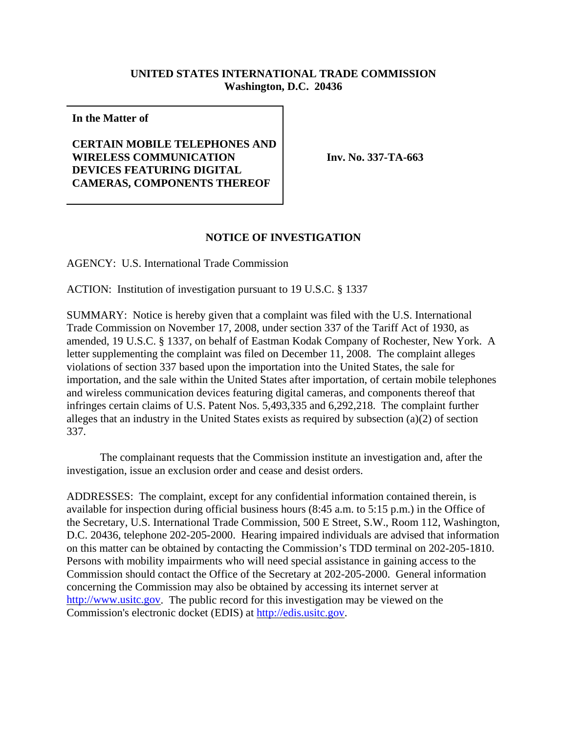## **UNITED STATES INTERNATIONAL TRADE COMMISSION Washington, D.C. 20436**

**In the Matter of**

## **CERTAIN MOBILE TELEPHONES AND WIRELESS COMMUNICATION DEVICES FEATURING DIGITAL CAMERAS, COMPONENTS THEREOF**

 **Inv. No. 337-TA-663**

## **NOTICE OF INVESTIGATION**

AGENCY: U.S. International Trade Commission

ACTION: Institution of investigation pursuant to 19 U.S.C. § 1337

SUMMARY: Notice is hereby given that a complaint was filed with the U.S. International Trade Commission on November 17, 2008, under section 337 of the Tariff Act of 1930, as amended, 19 U.S.C. § 1337, on behalf of Eastman Kodak Company of Rochester, New York. A letter supplementing the complaint was filed on December 11, 2008. The complaint alleges violations of section 337 based upon the importation into the United States, the sale for importation, and the sale within the United States after importation, of certain mobile telephones and wireless communication devices featuring digital cameras, and components thereof that infringes certain claims of U.S. Patent Nos. 5,493,335 and 6,292,218. The complaint further alleges that an industry in the United States exists as required by subsection (a)(2) of section 337.

The complainant requests that the Commission institute an investigation and, after the investigation, issue an exclusion order and cease and desist orders.

ADDRESSES: The complaint, except for any confidential information contained therein, is available for inspection during official business hours (8:45 a.m. to 5:15 p.m.) in the Office of the Secretary, U.S. International Trade Commission, 500 E Street, S.W., Room 112, Washington, D.C. 20436, telephone 202-205-2000. Hearing impaired individuals are advised that information on this matter can be obtained by contacting the Commission's TDD terminal on 202-205-1810. Persons with mobility impairments who will need special assistance in gaining access to the Commission should contact the Office of the Secretary at 202-205-2000. General information concerning the Commission may also be obtained by accessing its internet server at http://www.usitc.gov. The public record for this investigation may be viewed on the Commission's electronic docket (EDIS) at http://edis.usitc.gov.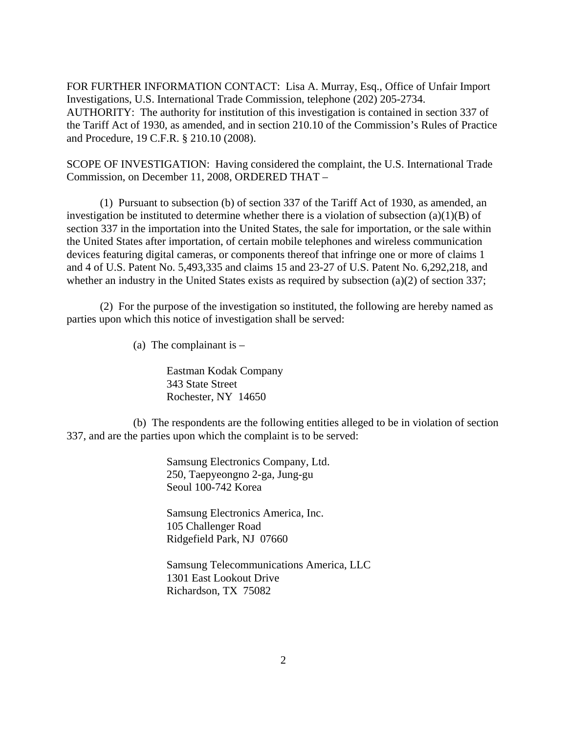FOR FURTHER INFORMATION CONTACT: Lisa A. Murray, Esq., Office of Unfair Import Investigations, U.S. International Trade Commission, telephone (202) 205-2734. AUTHORITY: The authority for institution of this investigation is contained in section 337 of the Tariff Act of 1930, as amended, and in section 210.10 of the Commission's Rules of Practice and Procedure, 19 C.F.R. § 210.10 (2008).

SCOPE OF INVESTIGATION: Having considered the complaint, the U.S. International Trade Commission, on December 11, 2008, ORDERED THAT –

(1) Pursuant to subsection (b) of section 337 of the Tariff Act of 1930, as amended, an investigation be instituted to determine whether there is a violation of subsection (a)(1)(B) of section 337 in the importation into the United States, the sale for importation, or the sale within the United States after importation, of certain mobile telephones and wireless communication devices featuring digital cameras, or components thereof that infringe one or more of claims 1 and 4 of U.S. Patent No. 5,493,335 and claims 15 and 23-27 of U.S. Patent No. 6,292,218, and whether an industry in the United States exists as required by subsection (a)(2) of section 337;

(2) For the purpose of the investigation so instituted, the following are hereby named as parties upon which this notice of investigation shall be served:

(a) The complainant is  $-$ 

Eastman Kodak Company 343 State Street Rochester, NY 14650

(b) The respondents are the following entities alleged to be in violation of section 337, and are the parties upon which the complaint is to be served:

> Samsung Electronics Company, Ltd. 250, Taepyeongno 2-ga, Jung-gu Seoul 100-742 Korea

Samsung Electronics America, Inc. 105 Challenger Road Ridgefield Park, NJ 07660

Samsung Telecommunications America, LLC 1301 East Lookout Drive Richardson, TX 75082